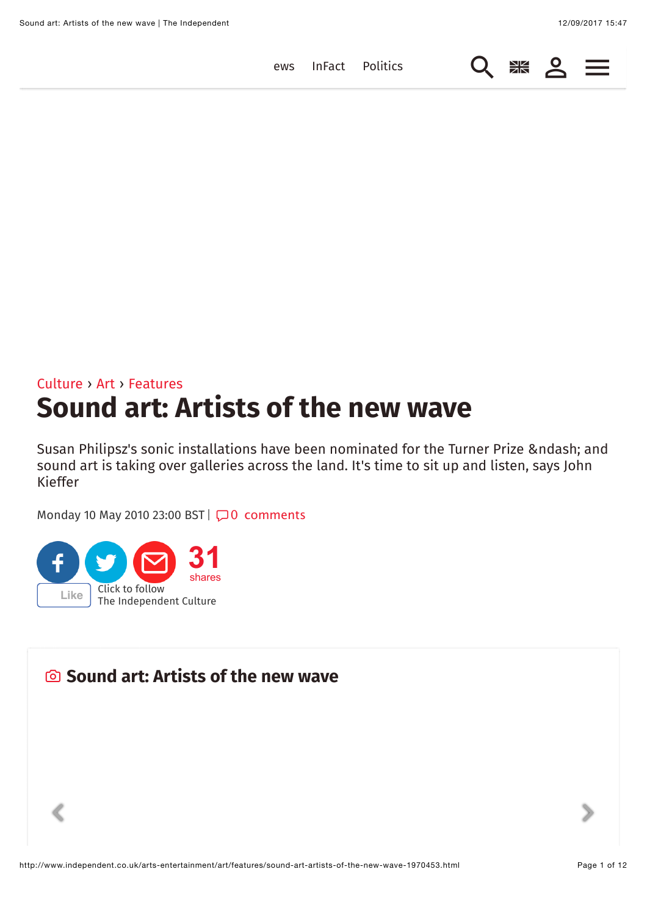$Q \mathrel{*}\mathrel{*} Q \equiv$  $Q \mathrel{*}\mathrel{*} Q \equiv$  $Q \mathrel{*}\mathrel{*} Q \equiv$ 

ews [InFact](http://www.independent.co.uk/infact) [Politics](http://www.independent.co.uk/news/uk/politics)

# [Culture](http://www.independent.co.uk/arts-entertainment) › [Art](http://www.independent.co.uk/arts-entertainment/art) › [Features](http://www.independent.co.uk/arts-entertainment/art/features) **Sound art: Artists of the new wave**

Susan Philipsz's sonic installations have been nominated for the Turner Prize – and sound art is taking over galleries across the land. It's time to sit up and listen, says John Kieffer

 $\begin{array}{ccccc}\n\diagup&&&&\rightarrow\\
\diagdown&&&&\rightarrow\\
\end{array}$ 

Monday 10 May 2010 23:00 BST | <del>○</del> 0 [comments](#page-6-0)



 $\textcolor{red}{\pmb{\textbf{\textit{<}}}}$ 

## **Sound art: Artists of the new wave**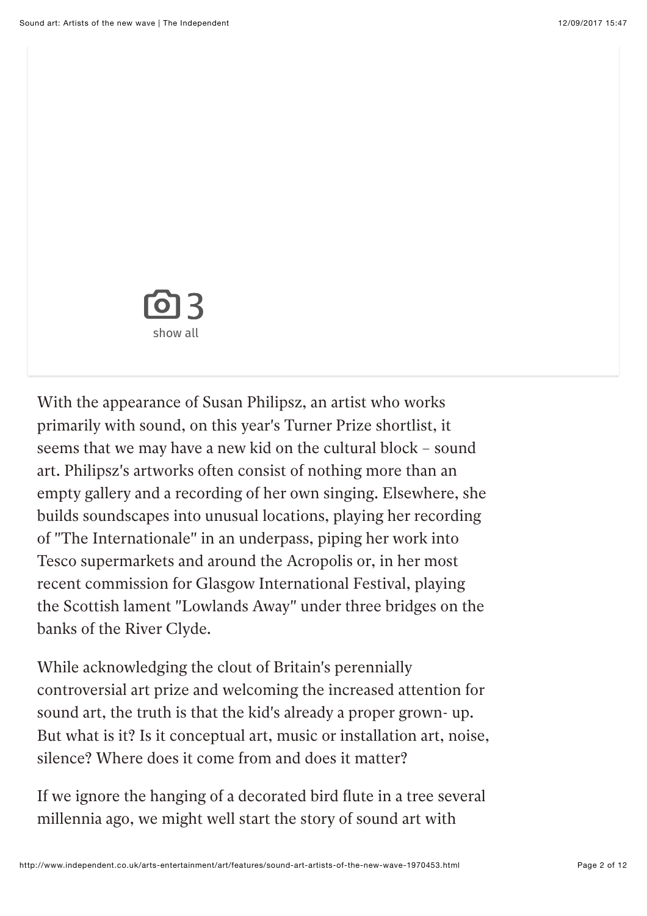

With the appearance of Susan Philipsz, an artist who works primarily with sound, on this year's Turner Prize shortlist, it seems that we may have a new kid on the cultural block – sound art. Philipsz's artworks often consist of nothing more than an empty gallery and a recording of her own singing. Elsewhere, she builds soundscapes into unusual locations, playing her recording of "The Internationale" in an underpass, piping her work into Tesco supermarkets and around the Acropolis or, in her most recent commission for Glasgow International Festival, playing the Scottish lament "Lowlands Away" under three bridges on the banks of the River Clyde.

While acknowledging the clout of Britain's perennially controversial art prize and welcoming the increased attention for sound art, the truth is that the kid's already a proper grown- up. But what is it? Is it conceptual art, music or installation art, noise, silence? Where does it come from and does it matter?

If we ignore the hanging of a decorated bird fute in a tree several millennia ago, we might well start the story of sound art with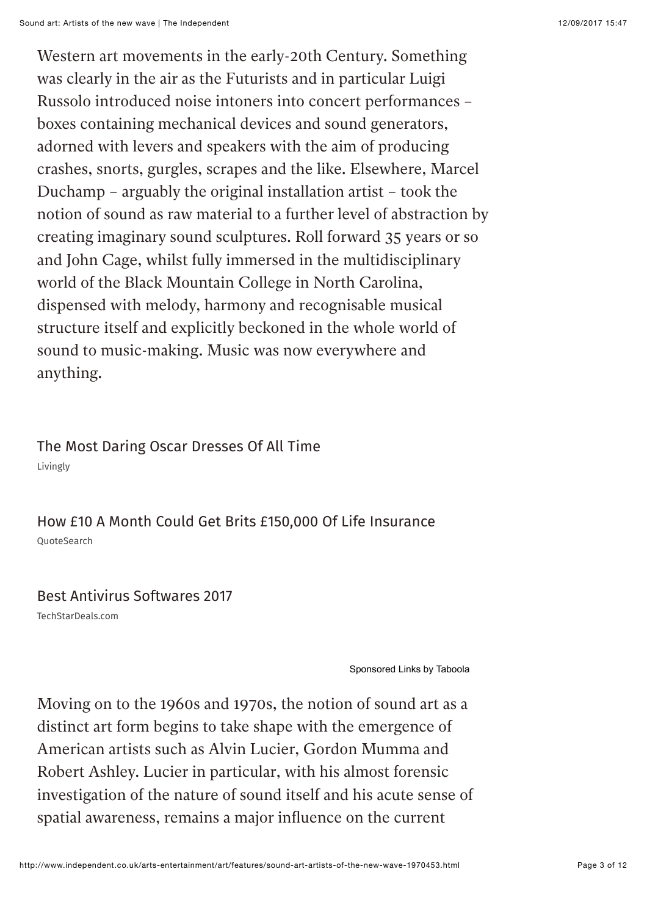Western art movements in the early-20th Century. Something was clearly in the air as the Futurists and in particular Luigi Russolo introduced noise intoners into concert performances – boxes containing mechanical devices and sound generators, adorned with levers and speakers with the aim of producing crashes, snorts, gurgles, scrapes and the like. Elsewhere, Marcel Duchamp – arguably the original installation artist – took the notion of sound as raw material to a further level of abstraction by creating imaginary sound sculptures. Roll forward 35 years or so and John Cage, whilst fully immersed in the multidisciplinary world of the Black Mountain College in North Carolina, dispensed with melody, harmony and recognisable musical structure itself and explicitly beckoned in the whole world of sound to music-making. Music was now everywhere and anything.

Livingly [The Most Daring Oscar Dresses Of All Time](http://www.livingly.com/The+Most+Daring+Oscar+Dresses?utm_source=tabo&utm_medium=cpc&utm_campaign=Tabo-LV-Specials-X1-Desktop-Daring-Oscar-Dresses&utm_content=eslmedia-theindependent&utm_term=http%3A%2F%2Fwww1.pictures.zimbio.com%2Fmp%2FW1wSODyKuVMx.jpg%7D&utm_term=http%3A%2F%2Fwww1.pictures.zimbio.com%2Fmp%2FW1wSODyKuVMx.jpg_The+Most+Daring+Oscar+Dresses+Of+All+Time)

QuoteSearch [How £10 A Month Could Get Brits £150,000 Of Life Insurance](https://www.nativeads365.com/quotesearch/quotesearch-taboola/new-policy-uk-could-provide-ps150000-life-insurance-only-ps10-month?utm_source=taboola&utm_medium=referral)

#### [Best Antivirus Softwares 2017](http://www.techstardeals.com/internet-security/?y=antivirus&tpl=93&utm_source=taboola&utm_medium=referral&device=c&3id=1915025&pbid=eslmedia-theindependent)

TechStarDeals.com

[Sponsored Links](http://popup.taboola.com/en/?template=colorbox&utm_source=eslmedia-theindependent&utm_medium=referral&utm_content=alternating-thumbnails-c:Mid%20Article%20Left%20Rail%20Thumbnails:) [by Taboola](http://popup.taboola.com/en/?template=colorbox&utm_source=eslmedia-theindependent&utm_medium=referral&utm_content=alternating-thumbnails-c:Mid%20Article%20Left%20Rail%20Thumbnails:)

Moving on to the 1960s and 1970s, the notion of sound art as a distinct art form begins to take shape with the emergence of American artists such as Alvin Lucier, Gordon Mumma and Robert Ashley. Lucier in particular, with his almost forensic investigation of the nature of sound itself and his acute sense of spatial awareness, remains a major infuence on the current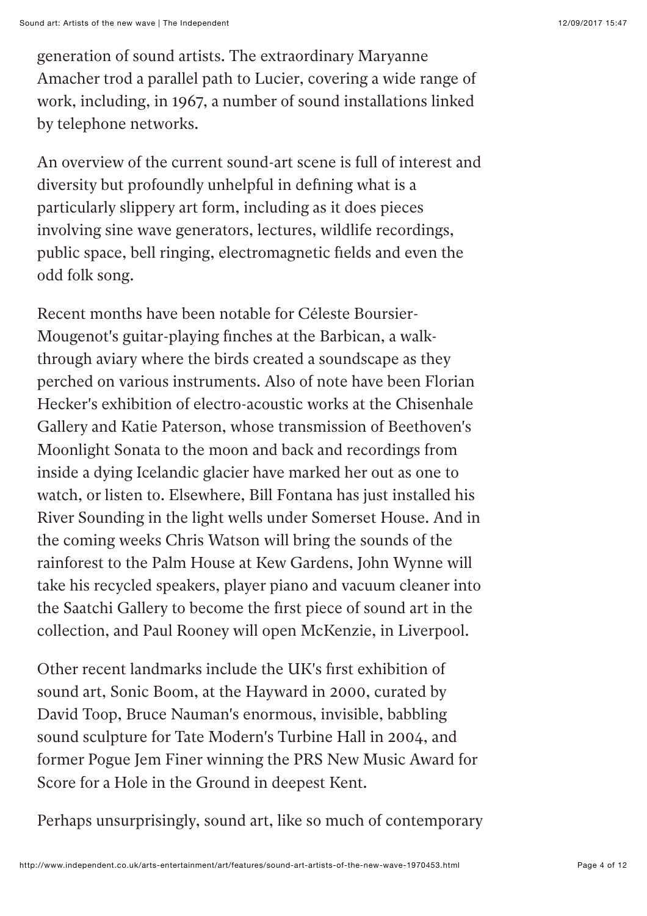generation of sound artists. The extraordinary Maryanne Amacher trod a parallel path to Lucier, covering a wide range of work, including, in 1967, a number of sound installations linked by telephone networks.

An overview of the current sound-art scene is full of interest and diversity but profoundly unhelpful in defning what is a particularly slippery art form, including as it does pieces involving sine wave generators, lectures, wildlife recordings, public space, bell ringing, electromagnetic felds and even the odd folk song.

Recent months have been notable for Céleste Boursier-Mougenot's guitar-playing fnches at the Barbican, a walkthrough aviary where the birds created a soundscape as they perched on various instruments. Also of note have been Florian Hecker's exhibition of electro-acoustic works at the Chisenhale Gallery and Katie Paterson, whose transmission of Beethoven's Moonlight Sonata to the moon and back and recordings from inside a dying Icelandic glacier have marked her out as one to watch, or listen to. Elsewhere, Bill Fontana has just installed his River Sounding in the light wells under Somerset House. And in the coming weeks Chris Watson will bring the sounds of the rainforest to the Palm House at Kew Gardens, John Wynne will take his recycled speakers, player piano and vacuum cleaner into the Saatchi Gallery to become the frst piece of sound art in the collection, and Paul Rooney will open McKenzie, in Liverpool.

Other recent landmarks include the UK's frst exhibition of sound art, Sonic Boom, at the Hayward in 2000, curated by David Toop, Bruce Nauman's enormous, invisible, babbling sound sculpture for Tate Modern's Turbine Hall in 2004, and former Pogue Jem Finer winning the PRS New Music Award for Score for a Hole in the Ground in deepest Kent.

Perhaps unsurprisingly, sound art, like so much of contemporary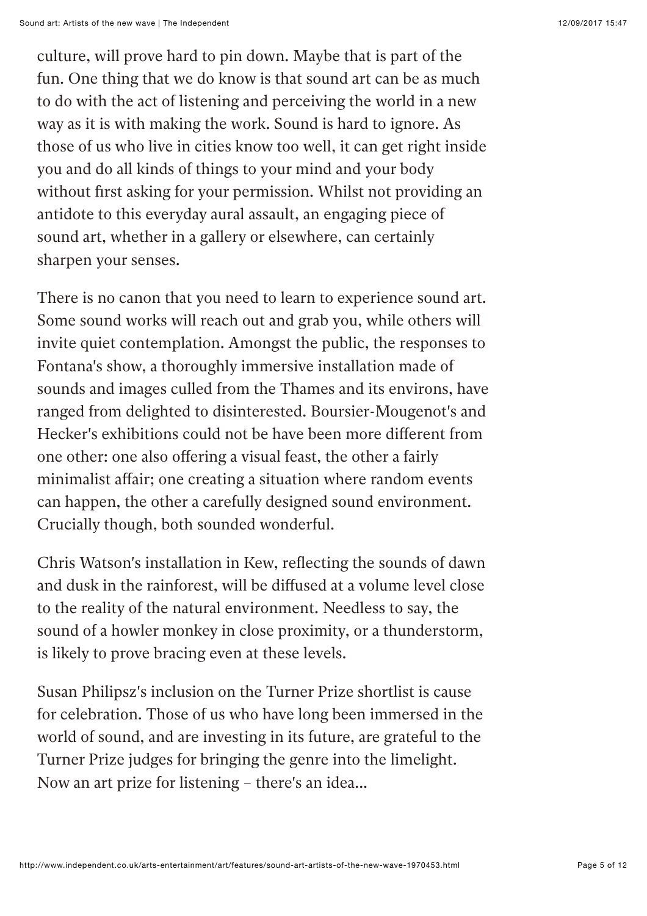culture, will prove hard to pin down. Maybe that is part of the fun. One thing that we do know is that sound art can be as much to do with the act of listening and perceiving the world in a new way as it is with making the work. Sound is hard to ignore. As those of us who live in cities know too well, it can get right inside you and do all kinds of things to your mind and your body without frst asking for your permission. Whilst not providing an antidote to this everyday aural assault, an engaging piece of sound art, whether in a gallery or elsewhere, can certainly sharpen your senses.

There is no canon that you need to learn to experience sound art. Some sound works will reach out and grab you, while others will invite quiet contemplation. Amongst the public, the responses to Fontana's show, a thoroughly immersive installation made of sounds and images culled from the Thames and its environs, have ranged from delighted to disinterested. Boursier-Mougenot's and Hecker's exhibitions could not be have been more diferent from one other: one also ofering a visual feast, the other a fairly minimalist affair; one creating a situation where random events can happen, the other a carefully designed sound environment. Crucially though, both sounded wonderful.

Chris Watson's installation in Kew, refecting the sounds of dawn and dusk in the rainforest, will be difused at a volume level close to the reality of the natural environment. Needless to say, the sound of a howler monkey in close proximity, or a thunderstorm, is likely to prove bracing even at these levels.

Susan Philipsz's inclusion on the Turner Prize shortlist is cause for celebration. Those of us who have long been immersed in the world of sound, and are investing in its future, are grateful to the Turner Prize judges for bringing the genre into the limelight. Now an art prize for listening – there's an idea...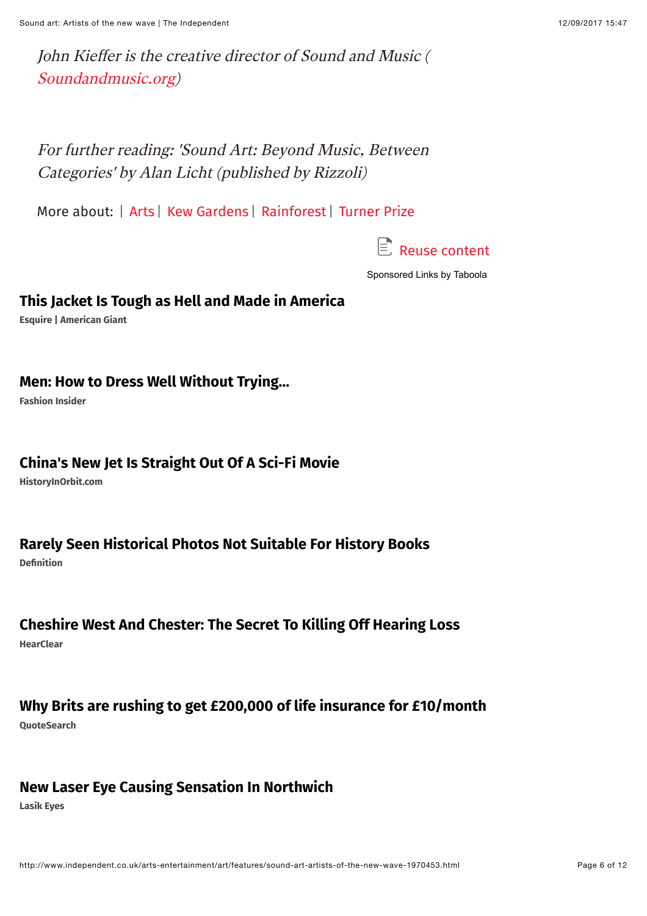John Kiefer is the creative director of Sound and Music ( [Soundandmusic.org\)](http://soundandmusic.org/)

For further reading: 'Sound Art: Beyond Music, Between Categories' by Alan Licht (published by Rizzoli)

More about: | [Arts](http://www.independent.co.uk/topic/Arts) | [Kew Gardens](http://www.independent.co.uk/topic/KewGardens) | [Rainforest](http://www.independent.co.uk/topic/Rainforest) | [Turner Prize](http://www.independent.co.uk/topic/TurnerPrize)



[Sponsored Links](http://popup.taboola.com/en/?template=colorbox&utm_source=eslmedia-theindependent&utm_medium=referral&utm_content=thumbnails-d:Below%20Article%20Thumbnails:) [by Taboola](http://popup.taboola.com/en/?template=colorbox&utm_source=eslmedia-theindependent&utm_medium=referral&utm_content=thumbnails-d:Below%20Article%20Thumbnails:)

#### **[This Jacket Is Tough as Hell and Made in America](http://sp1.convertro.com/trax2/americangiant/1/trax/short/?redirect_to=http://www.esquire.com/style/mens-fashion/news/a53137/american-giant-coach-jacket-anorak/&cvosrc=ppc+content.taboola.721594)**

**Esquire | American Giant**

#### **[Men: How to Dress Well Without Trying…](http://fashioninsider.club/t/the-website-the-fashion-industry-doesnt-want-you-to-know-about/?utm_source=taboola&utm_medium=eslmedia-theindependent&utm_term=Men%3A+How+to+Dress+Well+Without+Trying%E2%80%A6&utm_content=http%3A%2F%2Fcdn.taboolasyndication.com%2Flibtrc%2Fstatic%2Fthumbnails%2F14b46e115e9285f7e172693738215c7e.jpg)**

**Fashion Insider**

#### **[China's New Jet Is Straight Out Of A Sci-Fi Movie](http://www.historyinorbit.com/china-weapons-puppies-world-quaking-boots/?utm_source=taboola&utm_medium=NICK_historyinorbit.com-Desktop-ENG-ChinaWorldCD&utm_term=eslmedia-theindependent&utm_campaign=China%27s+New+Jet+Is+Straight+Out+Of+A+Sci-Fi+Movie)**

**HistoryInOrbit.com**

#### **[Rarely Seen Historical Photos Not Suitable For History Books](http://def.sptrkr.com/ebe37140?utm_source=Taboola&utm_medium=eslmedia-theindependent&utm_campaign=DEF_GB_D_Taboola_31033_631806&utm_content=45707118)**

**Definition**

#### **[Cheshire West And Chester: The Secret To Killing Off Hearing Loss](http://info.hearclear.com/latest-UK-hearing-technology?cid=59775abd0ac3c&utm_source=taboola&utm_medium=eslmedia-theindependent&utm_term=Cheshire+West+And+Chester%3A+The+Secret+To+Killing+Off+Hearing+Loss&utm_content=https%3A%2F%2Fconsole.brax-cdn.com%2Fcreatives%2F44dd7285-cd6a-4a0f-9085-8137587509a3%2FMiri_Otoscope_1_c7f2e2738033e4155d3ac7367abe6b89.600x500.png&utm_campaign=HA_UK_HearClear_TB_D)**

**HearClear**

## **[Why Brits are rushing to get £200,000 of life insurance for £10/month](https://www.nativeads365.com/quotesearch/quotesearch-taboola/why-dont-more-people-know-about-life-insurance?utm_source=taboola&utm_medium=referral)**

**QuoteSearch**

#### **[New Laser Eye Causing Sensation In Northwich](http://laser.lasik-eyes.co.uk/pioneering-laser-eye-surgery?cid=5767c844dad01&utm_source=taboola&utm_medium=eslmedia-theindependent&utm_term=New+Laser+Eye+Causing+Sensation+In+Northwich&utm_content=https%3A%2F%2Fconsole.brax-cdn.com%2Fcreatives%2F44dd7285-cd6a-4a0f-9085-8137587509a3%2Fjack2_blue_234a44953eb6fc2e8b193d66273a7431.600x500.png&utm_campaign=Laser_lasik_D&nwid=desktop)**

**Lasik Eyes**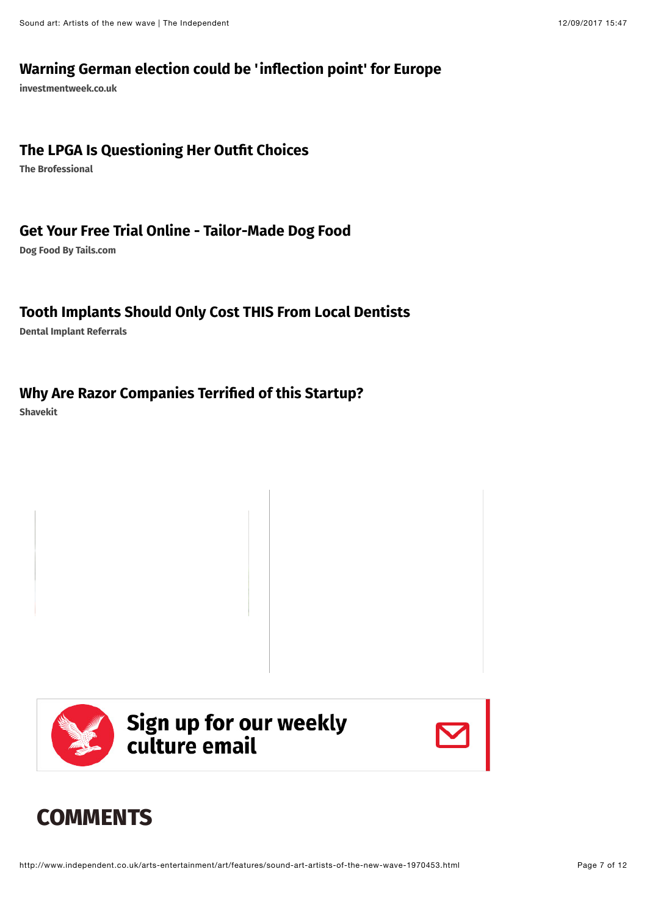#### **[Warning German election could be 'inflection point' for Europe](http://www.investmentweek.co.uk/investment-week/news/3003251/warning-german-election-could-be-inflection-point-for-europe?utm_source=taboola&utm_medium=referral&utm_content=eslmedia-theindependent)**

**investmentweek.co.uk**

#### **[The LPGA Is Questioning Her Outfit Choices](http://www.thebrofessional.net/female-golfer-driving-internet-crazy-2/?utm_source=taboola&utm_medium=LAZ%5Fthebrofessional%2Enet%2DDesktop%2DENG%2DPaigeH&utm_term=eslmedia-theindependent&utm_campaign=The+LPGA+Is+Questioning+Her+Outfit+Choices)**

**The Brofessional**

#### **[Get Your Free Trial Online - Tailor-Made Dog Food](https://tails.com/how-it-works?pc=KXDZTP&utm_source=taboola&utm_medium=display)**

**Dog Food By Tails.com**

#### **[Tooth Implants Should Only Cost THIS From Local Dentists](http://reporting.livesmarter.com/lnd/?oid=350&aid=890&c1=ukd-eslmedia-theindependent-26013247&taboolaclickid=CiQ0N2M1MmJiMS1hNTc2LTRkN2UtYTI1Yi0zYWYxOTAzYzhhZTASIWZpbHRoeXJpY2hzdGFycy1kZW50YWxpbXBsYW50cy1zYw)**

**Dental Implant Referrals**

#### **[Why Are Razor Companies Terrified of this Startup?](http://www.shavekit.com/4-reasons-why-men-are-loving-shavekit?utm_source=taboola&utm_medium=cpc&utm_campaign=taboolav2)**

**Shavekit**





## <span id="page-6-0"></span>**COMMENTS**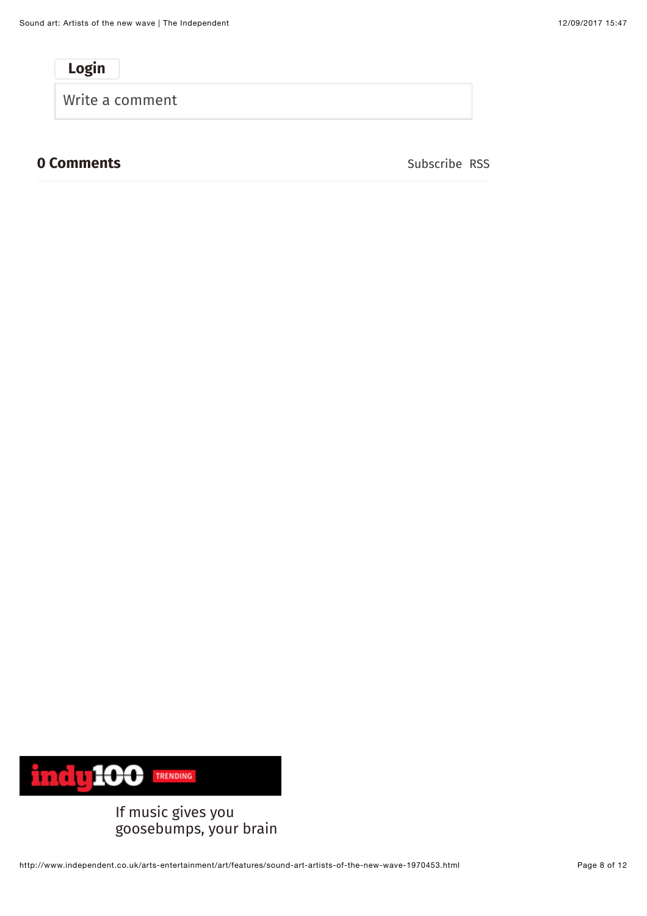**Login**

Write a comment

#### **0 Comments** Subscribe [RSS](http://comments.us1.gigya.com/comments/rss/6115931/ArticleComments/a3317226)



If music gives you [goosebumps, your brain](https://www.indy100.com/article/music-goosebumps-some-people-science-research-emotions-psychology-study-harvard-7926781?utm_source=indy&utm_medium=top5&utm_campaign=i100)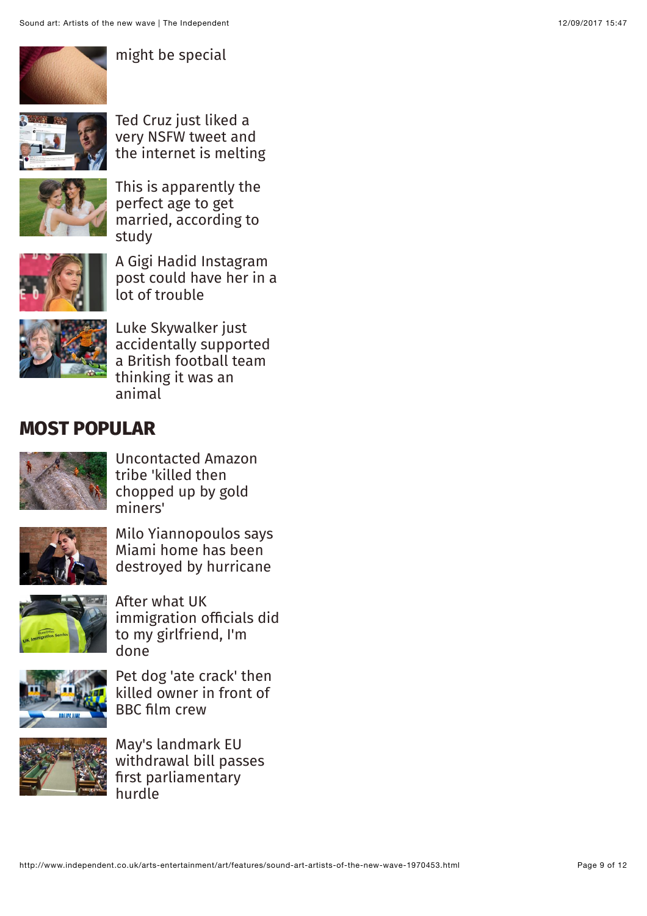

[might be special](https://www.indy100.com/article/music-goosebumps-some-people-science-research-emotions-psychology-study-harvard-7926781?utm_source=indy&utm_medium=top5&utm_campaign=i100)



Ted Cruz just liked a very NSFW tweet and [the internet is melting](https://www.indy100.com/article/ted-cruz-nsfw-tweet-porn-senator-texas-twitter-reaction-7941816?utm_source=indy&utm_medium=top5&utm_campaign=i100)



[This is apparently the](https://www.indy100.com/article/marriage-ages-divorce-rates-studies-7942766?utm_source=indy&utm_medium=top5&utm_campaign=i100) perfect age to get married, according to study



A Gigi Hadid Instagram [post could have her in a](https://www.indy100.com/article/gigi-hadid-instagram-post-photographer-copyright-image-use-peter-cepeda-7942536?utm_source=indy&utm_medium=top5&utm_campaign=i100) lot of trouble



Luke Skywalker just [accidentally supported](https://www.indy100.com/article/luke-skywalker-mark-hamill-star-wars-wolves-wolverhampton-fc-7942556?utm_source=indy&utm_medium=top5&utm_campaign=i100) a British football team thinking it was an animal

## **MOST POPULAR**



[Uncontacted Amazon](http://www.independent.co.uk/news/world/americas/amazon-tribe-uncontacted-killed-massacred-dismembered-gold-miners-brazil-funai-a7940081.html) tribe 'killed then chopped up by gold miners'



[Milo Yiannopoulos says](http://www.independent.co.uk/news/world/americas/irma-milo-yiannopoulos-miami-home-destroy-hurricane-alt-right-a7940521.html) Miami home has been destroyed by hurricane



After what UK [immigration officials did](http://www.independent.co.uk/voices/brexit-british-immigration-officers-girlfriend-irish-passport-apply-leaving-europe-eu-a7940566.html) to my girlfriend, I'm done



[Pet dog 'ate crack' then](http://www.independent.co.uk/news/uk/home-news/pet-dog-crack-cocaine-kill-owner-bbc-crew-drug-documentary-staffordshire-bull-terrier-mario-a7941901.html) killed owner in front of BBC film crew



May's landmark EU [withdrawal bill passes](http://www.independent.co.uk/news/uk/politics/brexit-theresa-may-eu-withdrawal-bill-jeremy-corbyn-labour-vote-mps-a7941711.html) first parliamentary hurdle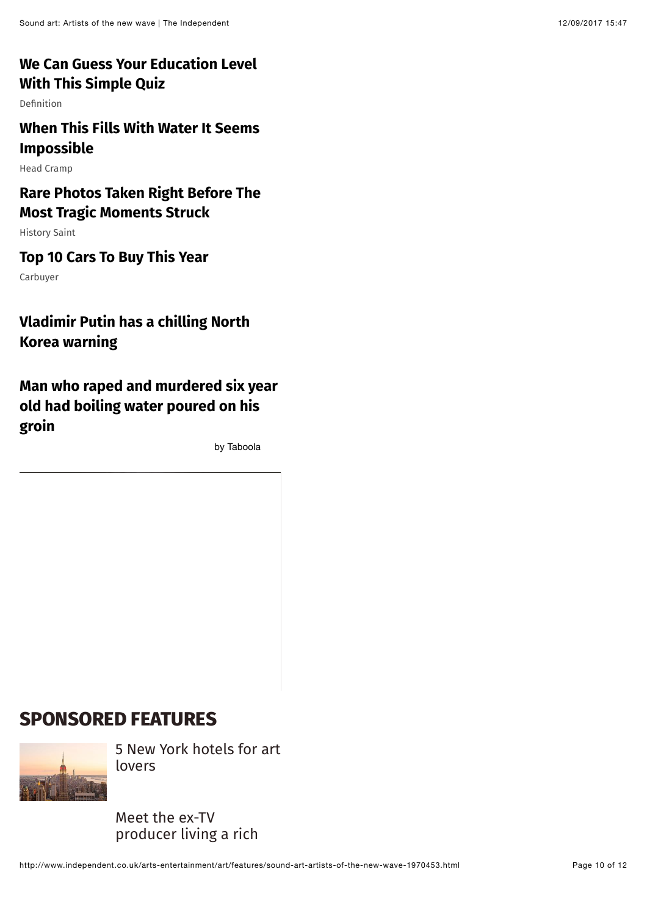#### **[We Can Guess Your Education Level](http://definition.org/how-smart-are-you-quiz/?utm_source=Taboola&utm_medium=eslmedia-theindependent&utm_campaign=DEF_GB_D_Taboola_33596_548816&utm_content=41244754) With This Simple Quiz**

Definition

## **[When This Fills With Water It Seems](http://headcramp.com/natural-swimming-pool-diy/?as=2020030903945&utm_source=taboola&utm_medium=cpc&utm_campaign=natural-swimming-pool-diy_hc_uk_english_desktop_c0_t0_v20170627_top_creatives&utm_term=45988087&utm_content=eslmedia-theindependent&adv_img=http%3A%2F%2Fs3.amazonaws.com%2Fboredom-therapy-image-bucket%2Fimg2%2Fnatural-swimming-pool-diy-4-taboola.jpg&adv_txt=When+This+Fills+With+Water+It+Seems+Impossible) Impossible**

Head Cramp

## **[Rare Photos Taken Right Before The](http://www.historysaint.com/25-powerful-pictures-taken-before-tragedy-struck-animal-edition/?utm_content=P139-T2-flipoctopus-tragedy&utm_source=taboola&utm_medium=cpc&utm_term=eslmedia-theindependent&utm_campaign=590242&utm_campaign_widget=590242-eslmedia-theindependent) Most Tragic Moments Struck**

History Saint

#### **[Top 10 Cars To Buy This Year](http://www.carbuyer.co.uk/news?utm_source=taboola&utm_medium=cpc&utm_campaign=TBROS&utm_content=eslmedia-theindependent)**

Carbuyer

## **[Vladimir Putin has a chilling North](http://www.independent.co.uk/news/vladimir-putin-donald-trump-america-north-korea-kim-jong-un-on-verge-of-large-scale-conflict-a7925031.html) Korea warning**

**[Man who raped and murdered six year](http://www.independent.co.uk/news/world/australasia/paedophile-rape-murder-girl-six-year-old-boiling-water-groin-prison-attack-gregory-keith-davies-a7933776.html) old had boiling water poured on his groin**

[by Taboola](http://popup.taboola.com/en/?template=colorbox&utm_source=eslmedia-theindependent&utm_medium=referral&utm_content=thumbnails-k:Right%20Rail%20Thumbnails:)

## **SPONSORED FEATURES**



[5 New York hotels for art](http://www.independent.co.uk/travel/5-new-york-hotels-for-art-lovers-a7729876.html) lovers

Meet the ex-TV [producer living a rich](http://www.independent.co.uk/life-style/meet-the-ex-tv-producer-living-a-rich-life-a7849231.html)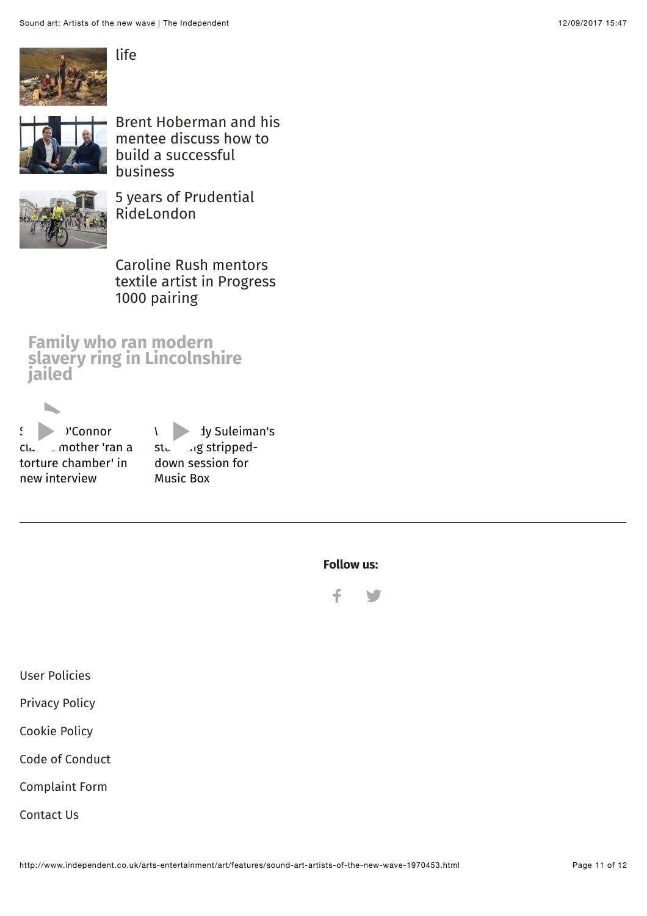

[Brent Hoberman and his](http://www.independent.co.uk/business/brent-hoberman-and-his-mentee-discuss-how-to-build-a-successful-business-a7880316.html) mentee discuss how to build a successful business



[5 years of Prudential](http://www.independent.co.uk/life-style/5-years-of-prudential-ridelondon-a7868481.html) RideLondon

Caroline Rush mentors [textile artist in Progress](http://www.independent.co.uk/life-style/caroline-rush-mentors-textile-artist-in-progress-1000-pairing-a7858776.html) 1000 pairing

**Slave Family who ran modern [slavery ring in Lincolnshire](http://www.independent.co.uk/news/uk/crime/rooney-family-slavery-ring-lincolnshire-jailed-prison-sentence-79-years-police-captives-eleven-a7942846.html) jailed**



stunning strippeddown session for Music Box

**Follow us:**



[User Policies](http://www.independent.co.uk/service/user-policies-a6184151.html)

[Privacy Policy](http://www.independent.co.uk/service/privacy-policy-a6184181.html)

[Cookie Policy](http://www.independent.co.uk/service/cookie-policy-a6184186.html)

[Code of Conduct](http://www.independent.co.uk/service/code-of-conduct-a6184241.html)

[Complaint Form](https://independentnews.zendesk.com/hc/en-us/requests/new)

[Contact Us](http://www.independent.co.uk/service/contact-us-759589.html)